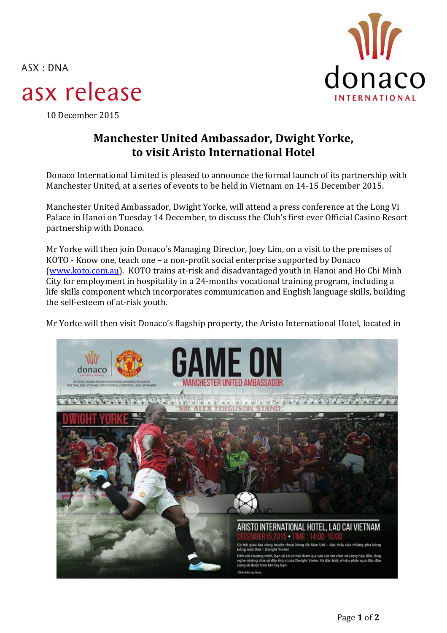$ASK: DNA$ 



## asx release

10 December 2015

## **Manchester United Ambassador, Dwight Yorke, to visit Aristo International Hotel**

Donaco International Limited is pleased to announce the formal launch of its partnership with Manchester United, at a series of events to be held in Vietnam on 14-15 December 2015.

Manchester United Ambassador, Dwight Yorke, will attend a press conference at the Long Vi Palace in Hanoi on Tuesday 14 December, to discuss the Club's first ever Official Casino Resort partnership with Donaco.

Mr Yorke will then join Donaco's Managing Director, Joey Lim, on a visit to the premises of KOTO - Know one, teach one – a non-profit social enterprise supported by Donaco [\(www.koto.com.au\)](http://www.koto.com.au/). KOTO trains at-risk and disadvantaged youth in Hanoi and Ho Chi Minh City for employment in hospitality in a 24-months vocational training program, including a life skills component which incorporates communication and English language skills, building the self-esteem of at-risk youth.

Mr Yorke will then visit Donaco's flagship property, the Aristo International Hotel, located in